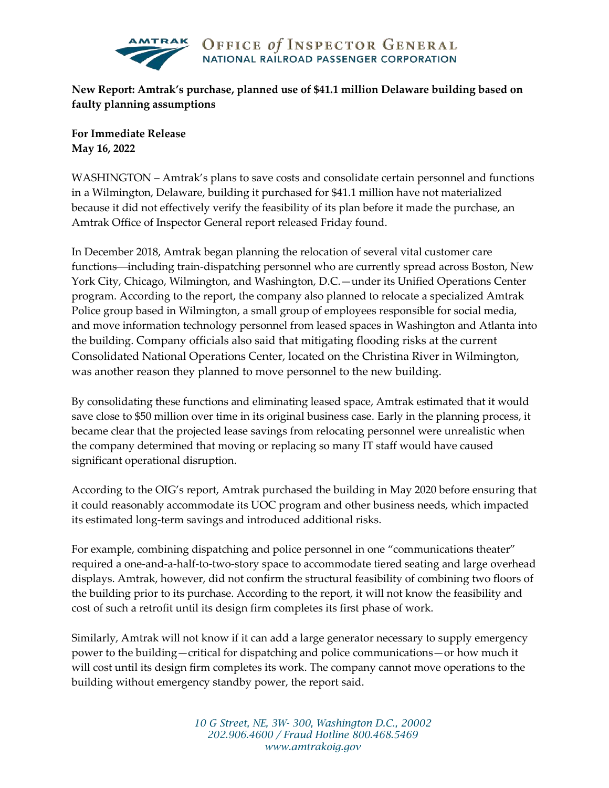

**New Report: Amtrak's purchase, planned use of \$41.1 million Delaware building based on faulty planning assumptions**

**For Immediate Release May 16, 2022**

WASHINGTON – Amtrak's plans to save costs and consolidate certain personnel and functions in a Wilmington, Delaware, building it purchased for \$41.1 million have not materialized because it did not effectively verify the feasibility of its plan before it made the purchase, an Amtrak Office of Inspector General report released Friday found.

In December 2018, Amtrak began planning the relocation of several vital customer care functions—including train-dispatching personnel who are currently spread across Boston, New York City, Chicago, Wilmington, and Washington, D.C.—under its Unified Operations Center program. According to the report, the company also planned to relocate a specialized Amtrak Police group based in Wilmington, a small group of employees responsible for social media, and move information technology personnel from leased spaces in Washington and Atlanta into the building. Company officials also said that mitigating flooding risks at the current Consolidated National Operations Center, located on the Christina River in Wilmington, was another reason they planned to move personnel to the new building.

By consolidating these functions and eliminating leased space, Amtrak estimated that it would save close to \$50 million over time in its original business case. Early in the planning process, it became clear that the projected lease savings from relocating personnel were unrealistic when the company determined that moving or replacing so many IT staff would have caused significant operational disruption.

According to the OIG's report, Amtrak purchased the building in May 2020 before ensuring that it could reasonably accommodate its UOC program and other business needs, which impacted its estimated long-term savings and introduced additional risks.

For example, combining dispatching and police personnel in one "communications theater" required a one-and-a-half-to-two-story space to accommodate tiered seating and large overhead displays. Amtrak, however, did not confirm the structural feasibility of combining two floors of the building prior to its purchase. According to the report, it will not know the feasibility and cost of such a retrofit until its design firm completes its first phase of work.

Similarly, Amtrak will not know if it can add a large generator necessary to supply emergency power to the building—critical for dispatching and police communications—or how much it will cost until its design firm completes its work. The company cannot move operations to the building without emergency standby power, the report said.

> *10 G Street, NE, 3W- 300, Washington D.C., 20002 202.906.4600 / Fraud Hotline 800.468.5469 www.amtrakoig.gov*